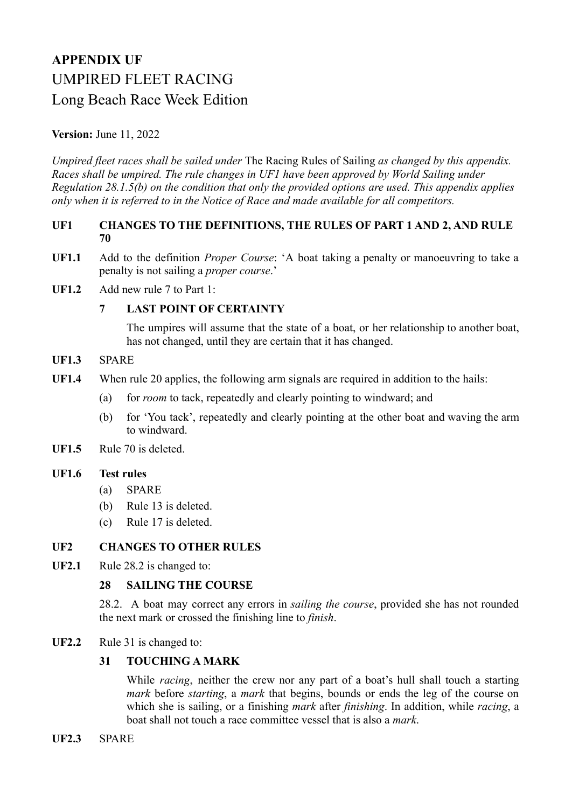# **APPENDIX UF** UMPIRED FLEET RACING Long Beach Race Week Edition

## **Version:** June 11, 2022

*Umpired fleet races shall be sailed under* The Racing Rules of Sailing *as changed by this appendix. Races shall be umpired. The rule changes in UF1 have been approved by World Sailing under Regulation 28.1.5(b) on the condition that only the provided options are used. This appendix applies only when it is referred to in the Notice of Race and made available for all competitors.*

#### **UF1 CHANGES TO THE DEFINITIONS, THE RULES OF PART 1 AND 2, AND RULE 70**

- **UF1.1** Add to the definition *Proper Course*: 'A boat taking a penalty or manoeuvring to take a penalty is not sailing a *proper course*.'
- **UF1.2** Add new rule 7 to Part 1:

## **7 LAST POINT OF CERTAINTY**

The umpires will assume that the state of a boat, or her relationship to another boat, has not changed, until they are certain that it has changed.

- **UF1.3** SPARE
- **UF1.4** When rule 20 applies, the following arm signals are required in addition to the hails:
	- (a) for *room* to tack, repeatedly and clearly pointing to windward; and
	- (b) for 'You tack', repeatedly and clearly pointing at the other boat and waving the arm to windward.
- **UF1.5** Rule 70 is deleted.

#### **UF1.6 Test rules**

- (a) SPARE
- (b) Rule 13 is deleted.
- (c) Rule 17 is deleted.

#### **UF2 CHANGES TO OTHER RULES**

**UF2.1** Rule 28.2 is changed to:

#### **28 SAILING THE COURSE**

28.2. A boat may correct any errors in *sailing the course*, provided she has not rounded the next mark or crossed the finishing line to *finish*.

**UF2.2** Rule 31 is changed to:

#### **31 TOUCHING A MARK**

While *racing*, neither the crew nor any part of a boat's hull shall touch a starting *mark* before *starting*, a *mark* that begins, bounds or ends the leg of the course on which she is sailing, or a finishing *mark* after *finishing*. In addition, while *racing*, a boat shall not touch a race committee vessel that is also a *mark*.

**UF2.3** SPARE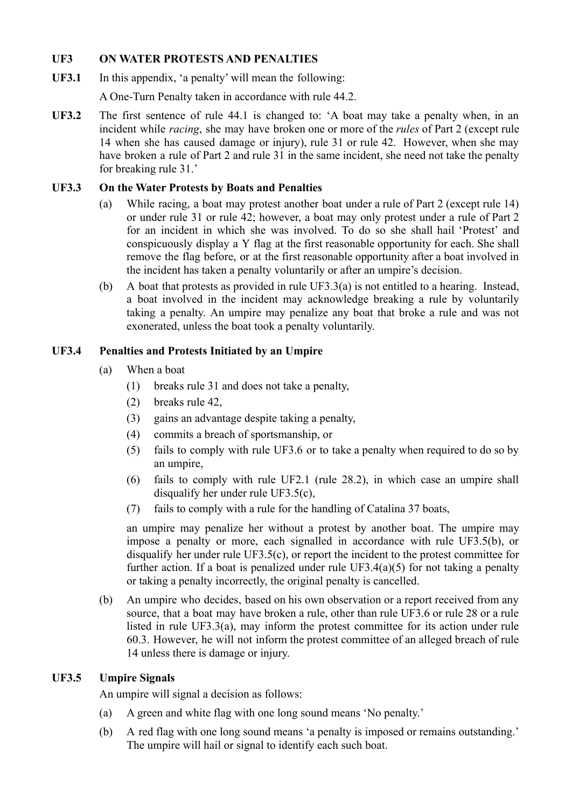## **UF3 ON WATER PROTESTS AND PENALTIES**

**UF3.1** In this appendix, 'a penalty' will mean the following:

A One-Turn Penalty taken in accordance with rule 44.2.

**UF3.2** The first sentence of rule 44.1 is changed to: 'A boat may take a penalty when, in an incident while *racing*, she may have broken one or more of the *rules* of Part 2 (except rule 14 when she has caused damage or injury), rule 31 or rule 42. However, when she may have broken a rule of Part 2 and rule 31 in the same incident, she need not take the penalty for breaking rule 31.'

## **UF3.3 On the Water Protests by Boats and Penalties**

- (a) While racing, a boat may protest another boat under a rule of Part 2 (except rule 14) or under rule 31 or rule 42; however, a boat may only protest under a rule of Part 2 for an incident in which she was involved. To do so she shall hail 'Protest' and conspicuously display a Y flag at the first reasonable opportunity for each. She shall remove the flag before, or at the first reasonable opportunity after a boat involved in the incident has taken a penalty voluntarily or after an umpire's decision.
- (b) A boat that protests as provided in rule UF3.3(a) is not entitled to a hearing. Instead, a boat involved in the incident may acknowledge breaking a rule by voluntarily taking a penalty. An umpire may penalize any boat that broke a rule and was not exonerated, unless the boat took a penalty voluntarily.

## **UF3.4 Penalties and Protests Initiated by an Umpire**

- (a) When a boat
	- (1) breaks rule 31 and does not take a penalty,
	- (2) breaks rule 42,
	- (3) gains an advantage despite taking a penalty,
	- (4) commits a breach of sportsmanship, or
	- (5) fails to comply with rule UF3.6 or to take a penalty when required to do so by an umpire,
	- (6) fails to comply with rule UF2.1 (rule 28.2), in which case an umpire shall disqualify her under rule UF3.5(c),
	- (7) fails to comply with a rule for the handling of Catalina 37 boats,

an umpire may penalize her without a protest by another boat. The umpire may impose a penalty or more, each signalled in accordance with rule UF3.5(b), or disqualify her under rule UF3.5(c), or report the incident to the protest committee for further action. If a boat is penalized under rule  $UF3.4(a)(5)$  for not taking a penalty or taking a penalty incorrectly, the original penalty is cancelled.

(b) An umpire who decides, based on his own observation or a report received from any source, that a boat may have broken a rule, other than rule UF3.6 or rule 28 or a rule listed in rule UF3.3(a), may inform the protest committee for its action under rule 60.3. However, he will not inform the protest committee of an alleged breach of rule 14 unless there is damage or injury.

# **UF3.5 Umpire Signals**

An umpire will signal a decision as follows:

- (a) A green and white flag with one long sound means 'No penalty.'
- (b) A red flag with one long sound means 'a penalty is imposed or remains outstanding.' The umpire will hail or signal to identify each such boat.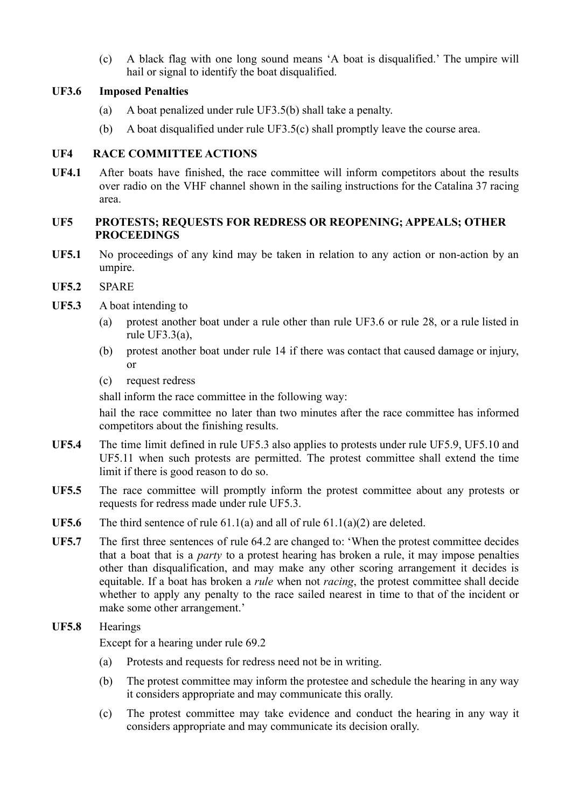(c) A black flag with one long sound means 'A boat is disqualified.' The umpire will hail or signal to identify the boat disqualified.

## **UF3.6 Imposed Penalties**

- (a) A boat penalized under rule UF3.5(b) shall take a penalty.
- (b) A boat disqualified under rule UF3.5(c) shall promptly leave the course area.

# **UF4 RACE COMMITTEE ACTIONS**

**UF4.1** After boats have finished, the race committee will inform competitors about the results over radio on the VHF channel shown in the sailing instructions for the Catalina 37 racing area.

## **UF5 PROTESTS; REQUESTS FOR REDRESS OR REOPENING; APPEALS; OTHER PROCEEDINGS**

- **UF5.1** No proceedings of any kind may be taken in relation to any action or non-action by an umpire.
- **UF5.2** SPARE
- **UF5.3** A boat intending to
	- (a) protest another boat under a rule other than rule UF3.6 or rule 28, or a rule listed in rule UF3.3(a),
	- (b) protest another boat under rule 14 if there was contact that caused damage or injury, or
	- (c) request redress

shall inform the race committee in the following way:

hail the race committee no later than two minutes after the race committee has informed competitors about the finishing results.

- **UF5.4** The time limit defined in rule UF5.3 also applies to protests under rule UF5.9, UF5.10 and UF5.11 when such protests are permitted. The protest committee shall extend the time limit if there is good reason to do so.
- UF5.5 The race committee will promptly inform the protest committee about any protests or requests for redress made under rule UF5.3.
- **UF5.6** The third sentence of rule 61.1(a) and all of rule 61.1(a)(2) are deleted.
- UF5.7 The first three sentences of rule 64.2 are changed to: 'When the protest committee decides that a boat that is a *party* to a protest hearing has broken a rule, it may impose penalties other than disqualification, and may make any other scoring arrangement it decides is equitable. If a boat has broken a *rule* when not *racing*, the protest committee shall decide whether to apply any penalty to the race sailed nearest in time to that of the incident or make some other arrangement.'

**UF5.8** Hearings

Except for a hearing under rule 69.2

- (a) Protests and requests for redress need not be in writing.
- (b) The protest committee may inform the protestee and schedule the hearing in any way it considers appropriate and may communicate this orally.
- (c) The protest committee may take evidence and conduct the hearing in any way it considers appropriate and may communicate its decision orally.